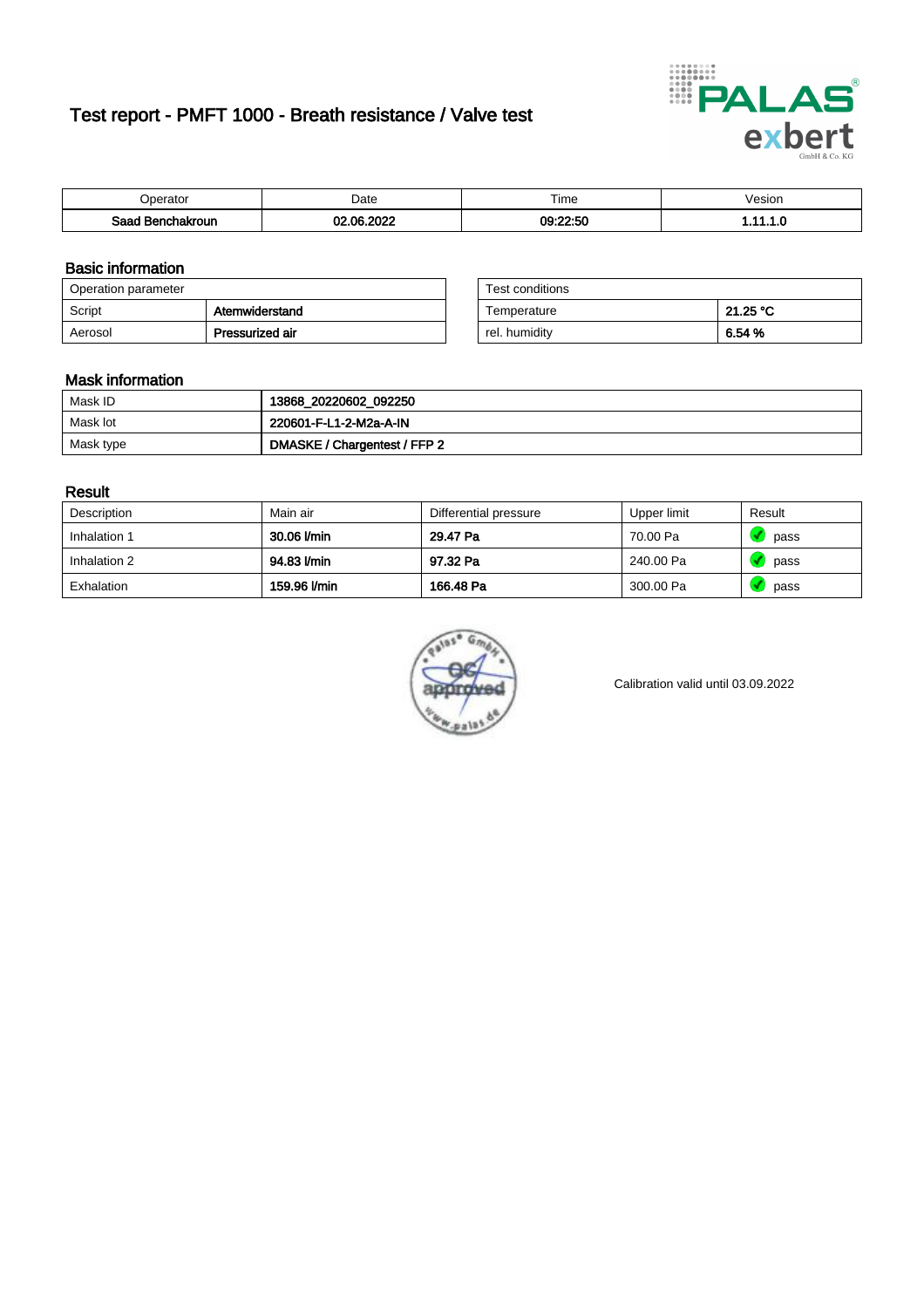# Test report - PMFT 1000 - Breath resistance / Valve test



| berator                 | Date                 | $- \cdot$<br>ime | /esion |
|-------------------------|----------------------|------------------|--------|
| Saad<br><b>chakroun</b> | ാറാറ<br>$\sim$<br>w. | 09:22:50         | .      |

### Basic information

| Operation parameter |                 | Test conditions |          |
|---------------------|-----------------|-----------------|----------|
| Script              | Atemwiderstand  | Temperature     | 21.25 °C |
| Aerosol             | Pressurized air | rel. humidity   | 6.54 %   |

| Test conditions |          |
|-----------------|----------|
| Temperature     | 21.25 °C |
| rel. humidity   | 6.54 %   |

### Mask information

| Mask ID   | 13868_20220602_092250        |
|-----------|------------------------------|
| Mask lot  | 220601-F-L1-2-M2a-A-IN       |
| Mask type | DMASKE / Chargentest / FFP 2 |

### Result

| Description  | Main air     | Differential pressure | Upper limit | Result |
|--------------|--------------|-----------------------|-------------|--------|
| Inhalation 1 | 30.06 l/min  | 29.47 Pa              | 70.00 Pa    | pass   |
| Inhalation 2 | 94.83 l/min  | 97.32 Pa              | 240.00 Pa   | pass   |
| Exhalation   | 159.96 l/min | 166.48 Pa             | 300.00 Pa   | pass   |



Calibration valid until 03.09.2022